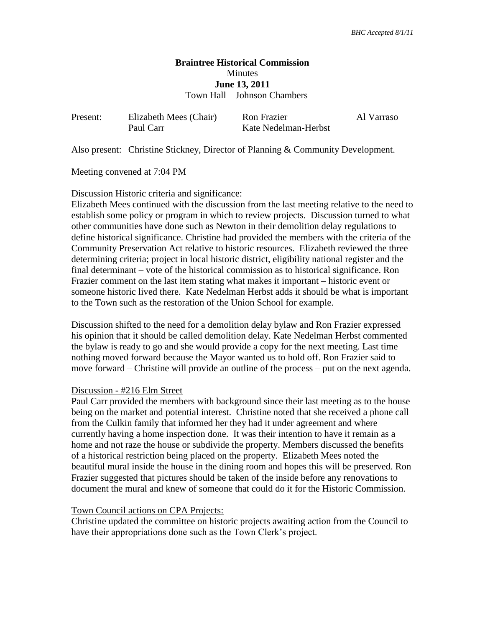# **Braintree Historical Commission Minutes June 13, 2011** Town Hall – Johnson Chambers

| Present: | Elizabeth Mees (Chair) | <b>Ron Frazier</b>   | Al Varraso |
|----------|------------------------|----------------------|------------|
|          | Paul Carr              | Kate Nedelman-Herbst |            |

Also present: Christine Stickney, Director of Planning & Community Development.

Meeting convened at 7:04 PM

## Discussion Historic criteria and significance:

Elizabeth Mees continued with the discussion from the last meeting relative to the need to establish some policy or program in which to review projects. Discussion turned to what other communities have done such as Newton in their demolition delay regulations to define historical significance. Christine had provided the members with the criteria of the Community Preservation Act relative to historic resources. Elizabeth reviewed the three determining criteria; project in local historic district, eligibility national register and the final determinant – vote of the historical commission as to historical significance. Ron Frazier comment on the last item stating what makes it important – historic event or someone historic lived there. Kate Nedelman Herbst adds it should be what is important to the Town such as the restoration of the Union School for example.

Discussion shifted to the need for a demolition delay bylaw and Ron Frazier expressed his opinion that it should be called demolition delay. Kate Nedelman Herbst commented the bylaw is ready to go and she would provide a copy for the next meeting. Last time nothing moved forward because the Mayor wanted us to hold off. Ron Frazier said to move forward – Christine will provide an outline of the process – put on the next agenda.

### Discussion - #216 Elm Street

Paul Carr provided the members with background since their last meeting as to the house being on the market and potential interest. Christine noted that she received a phone call from the Culkin family that informed her they had it under agreement and where currently having a home inspection done. It was their intention to have it remain as a home and not raze the house or subdivide the property. Members discussed the benefits of a historical restriction being placed on the property. Elizabeth Mees noted the beautiful mural inside the house in the dining room and hopes this will be preserved. Ron Frazier suggested that pictures should be taken of the inside before any renovations to document the mural and knew of someone that could do it for the Historic Commission.

### Town Council actions on CPA Projects:

Christine updated the committee on historic projects awaiting action from the Council to have their appropriations done such as the Town Clerk's project.